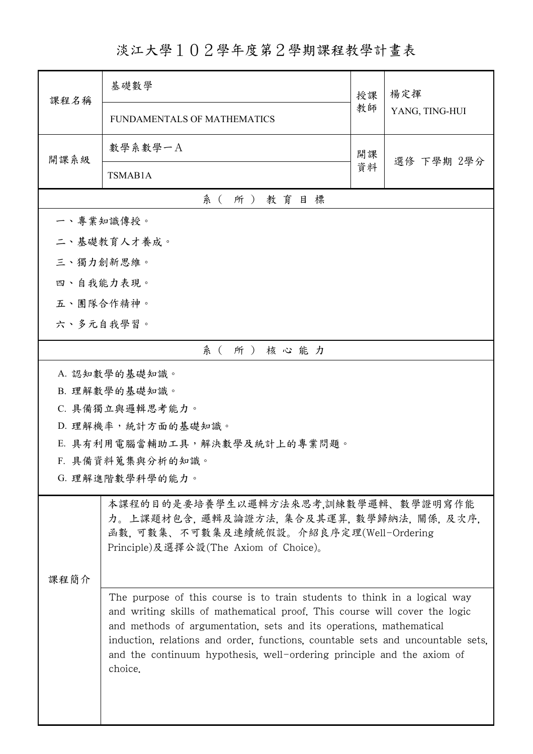## 淡江大學102學年度第2學期課程教學計畫表

| 課程名稱      | 基礎數學                                                                                                                                                                                                                                                                                                                                                                                                   | 授課 | 楊定揮<br>YANG, TING-HUI |  |  |  |
|-----------|--------------------------------------------------------------------------------------------------------------------------------------------------------------------------------------------------------------------------------------------------------------------------------------------------------------------------------------------------------------------------------------------------------|----|-----------------------|--|--|--|
|           | FUNDAMENTALS OF MATHEMATICS                                                                                                                                                                                                                                                                                                                                                                            | 教師 |                       |  |  |  |
| 開課系級      | 數學系數學一A                                                                                                                                                                                                                                                                                                                                                                                                | 開課 | 選修 下學期 2學分            |  |  |  |
|           | TSMAB1A                                                                                                                                                                                                                                                                                                                                                                                                | 資料 |                       |  |  |  |
|           | 系(所)教育目標                                                                                                                                                                                                                                                                                                                                                                                               |    |                       |  |  |  |
| 一、專業知識傳授。 |                                                                                                                                                                                                                                                                                                                                                                                                        |    |                       |  |  |  |
|           | 二、基礎教育人才養成。                                                                                                                                                                                                                                                                                                                                                                                            |    |                       |  |  |  |
| 三、獨力創新思維。 |                                                                                                                                                                                                                                                                                                                                                                                                        |    |                       |  |  |  |
|           | 四、自我能力表現。                                                                                                                                                                                                                                                                                                                                                                                              |    |                       |  |  |  |
| 五、團隊合作精神。 |                                                                                                                                                                                                                                                                                                                                                                                                        |    |                       |  |  |  |
|           | 六、多元自我學習。                                                                                                                                                                                                                                                                                                                                                                                              |    |                       |  |  |  |
|           | 系(所)核心能力                                                                                                                                                                                                                                                                                                                                                                                               |    |                       |  |  |  |
|           | A. 認知數學的基礎知識。                                                                                                                                                                                                                                                                                                                                                                                          |    |                       |  |  |  |
|           | B. 理解數學的基礎知識。                                                                                                                                                                                                                                                                                                                                                                                          |    |                       |  |  |  |
|           | C. 具備獨立與邏輯思考能力。                                                                                                                                                                                                                                                                                                                                                                                        |    |                       |  |  |  |
|           | D. 理解機率,統計方面的基礎知識。                                                                                                                                                                                                                                                                                                                                                                                     |    |                       |  |  |  |
|           | E. 具有利用電腦當輔助工具,解決數學及統計上的專業問題。                                                                                                                                                                                                                                                                                                                                                                          |    |                       |  |  |  |
|           | F. 具備資料蒐集與分析的知識。<br>G. 理解進階數學科學的能力。                                                                                                                                                                                                                                                                                                                                                                    |    |                       |  |  |  |
|           |                                                                                                                                                                                                                                                                                                                                                                                                        |    |                       |  |  |  |
| 课程简介      | 本課程的目的是要培養學生以邏輯方法來思考,訓練數學邏輯、數學證明寫作能<br>力。上課題材包含, 邏輯及論證方法, 集合及其運算, 數學歸納法, 關係, 及次序,<br>函數, 可數集、不可數集及連續統假設。介紹良序定理(Well-Ordering<br>Principle)及選擇公設(The Axiom of Choice)。                                                                                                                                                                                                                                  |    |                       |  |  |  |
|           | The purpose of this course is to train students to think in a logical way<br>and writing skills of mathematical proof. This course will cover the logic<br>and methods of argumentation, sets and its operations, mathematical<br>induction, relations and order, functions, countable sets and uncountable sets,<br>and the continuum hypothesis, well-ordering principle and the axiom of<br>choice. |    |                       |  |  |  |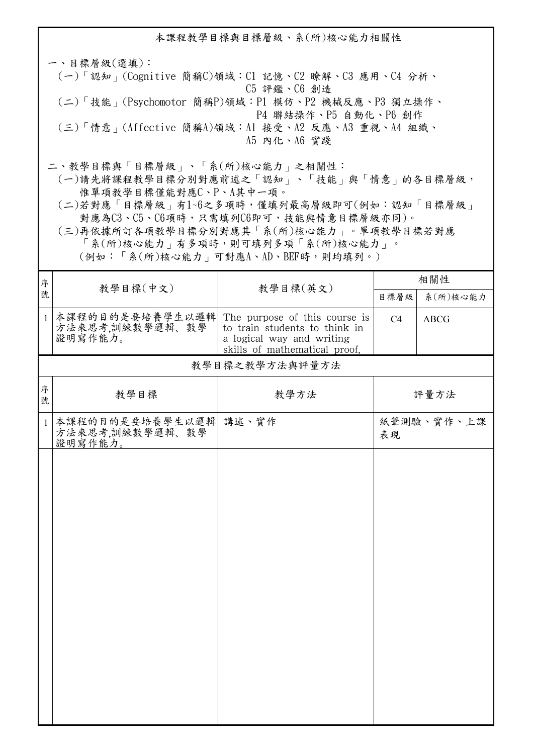本課程教學目標與目標層級、系(所)核心能力相關性 一、目標層級(選填): (一)「認知」(Cognitive 簡稱C)領域:C1 記憶、C2 瞭解、C3 應用、C4 分析、 C5 評鑑、C6 創造 (二)「技能」(Psychomotor 簡稱P)領域:P1 模仿、P2 機械反應、P3 獨立操作、 P4 聯結操作、P5 自動化、P6 創作 (三)「情意」(Affective 簡稱A)領域:A1 接受、A2 反應、A3 重視、A4 組織、 A5 內化、A6 實踐 二、教學目標與「目標層級」、「系(所)核心能力」之相關性: (一)請先將課程教學目標分別對應前述之「認知」、「技能」與「情意」的各目標層級, 惟單項教學目標僅能對應C、P、A其中一項。

 (二)若對應「目標層級」有1~6之多項時,僅填列最高層級即可(例如:認知「目標層級」 對應為C3、C5、C6項時,只需填列C6即可,技能與情意目標層級亦同)。

 (三)再依據所訂各項教學目標分別對應其「系(所)核心能力」。單項教學目標若對應 「系(所)核心能力」有多項時,則可填列多項「系(所)核心能力」。

(例如:「系(所)核心能力」可對應A、AD、BEF時,則均填列。)

| 序             |                                                     |                                                                                                                              | 相關性            |             |  |
|---------------|-----------------------------------------------------|------------------------------------------------------------------------------------------------------------------------------|----------------|-------------|--|
| 教學目標(中文)<br>號 | 教學目標(英文)                                            | 目標層級                                                                                                                         | 系(所)核心能力       |             |  |
| $\mathbf{1}$  | 本課程的目的是要培養學生以邏輯<br>方法來思考,訓練數學邏輯、數學<br>證明寫作能力。       | The purpose of this course is<br>to train students to think in<br>a logical way and writing<br>skills of mathematical proof. | C <sub>4</sub> | <b>ABCG</b> |  |
|               | 教學目標之教學方法與評量方法                                      |                                                                                                                              |                |             |  |
| 序<br>號        | 教學目標                                                | 教學方法                                                                                                                         |                | 評量方法        |  |
| $\mathbf{1}$  | 本課程的目的是要培養學生以邏輯 講述、實作<br>方法來思考,訓練數學邏輯、數學<br>證明寫作能力。 |                                                                                                                              | 表現             | 紙筆測驗、實作、上課  |  |
|               |                                                     |                                                                                                                              |                |             |  |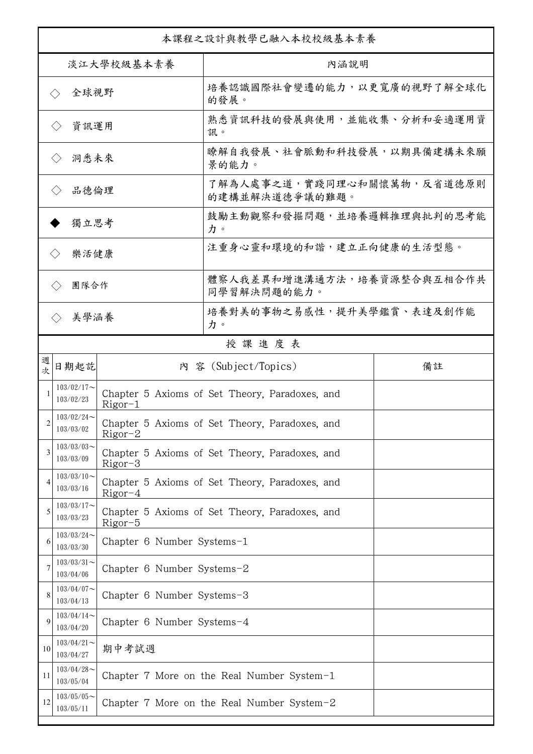| 本課程之設計與教學已融入本校校級基本素養         |                             |                            |                                                |    |  |
|------------------------------|-----------------------------|----------------------------|------------------------------------------------|----|--|
| 淡江大學校級基本素養                   |                             |                            | 內涵說明                                           |    |  |
| 全球視野<br>$\langle \ \rangle$  |                             |                            | 培養認識國際社會變遷的能力,以更寬廣的視野了解全球化<br>的發展。             |    |  |
|                              | 資訊運用<br>$\langle \ \rangle$ |                            | 熟悉資訊科技的發展與使用,並能收集、分析和妥適運用資<br>訊。               |    |  |
|                              | 洞悉未來<br>$\langle \rangle$   |                            | 瞭解自我發展、社會脈動和科技發展,以期具備建構未來願<br>景的能力。            |    |  |
| 品德倫理<br>$\langle \ \rangle$  |                             |                            | 了解為人處事之道,實踐同理心和關懷萬物,反省道德原則<br>的建構並解決道德爭議的難題。   |    |  |
| 獨立思考                         |                             |                            | 鼓勵主動觀察和發掘問題,並培養邏輯推理與批判的思考能<br>力。               |    |  |
| 樂活健康<br>$\langle \, \rangle$ |                             |                            | 注重身心靈和環境的和諧,建立正向健康的生活型態。                       |    |  |
|                              | 團隊合作<br>$\langle \rangle$   |                            | 體察人我差異和增進溝通方法,培養資源整合與互相合作共<br>同學習解決問題的能力。      |    |  |
|                              | 美學涵養<br>$\langle \rangle$   |                            | 培養對美的事物之易感性,提升美學鑑賞、表達及創作能<br>力。                |    |  |
|                              |                             |                            | 授課進度表                                          |    |  |
| 週<br>欤                       | 日期起訖                        |                            | 內 容 (Subject/Topics)                           | 備註 |  |
|                              | $103/02/17$ ~<br>103/02/23  | $Rigor-1$                  | Chapter 5 Axioms of Set Theory, Paradoxes, and |    |  |
| $\mathfrak{D}$               | $103/02/24$ ~<br>103/03/02  | $Rigor-2$                  | Chapter 5 Axioms of Set Theory, Paradoxes, and |    |  |
| 3                            | $103/03/03$ ~<br>103/03/09  | $Rigor-3$                  | Chapter 5 Axioms of Set Theory, Paradoxes, and |    |  |
| 4                            | $103/03/10$ ~<br>103/03/16  | $Rigor-4$                  | Chapter 5 Axioms of Set Theory, Paradoxes, and |    |  |
| 5                            | $103/03/17$ ~<br>103/03/23  | $Rigor-5$                  | Chapter 5 Axioms of Set Theory, Paradoxes, and |    |  |
| 6                            | $103/03/24$ ~<br>103/03/30  | Chapter 6 Number Systems-1 |                                                |    |  |
| 7                            | $103/03/31$ ~<br>103/04/06  | Chapter 6 Number Systems-2 |                                                |    |  |
| 8                            | $103/04/07$ ~<br>103/04/13  | Chapter 6 Number Systems-3 |                                                |    |  |
| 9                            | $103/04/14$ ~<br>103/04/20  | Chapter 6 Number Systems-4 |                                                |    |  |
| 10                           | $103/04/21$ ~<br>103/04/27  | 期中考試週                      |                                                |    |  |
| 11                           | $103/04/28$ ~<br>103/05/04  |                            | Chapter 7 More on the Real Number System-1     |    |  |
| 12                           | $103/05/05$ ~<br>103/05/11  |                            | Chapter 7 More on the Real Number System-2     |    |  |